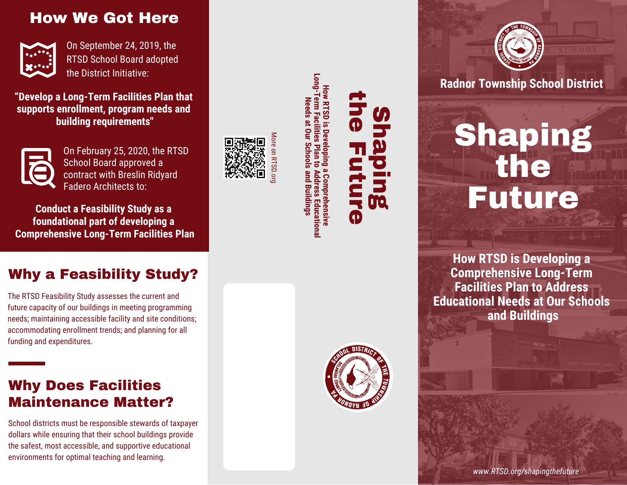## How We Got Here



On September 24, 2019, the RTSD School Board adopted the District Initiative:

**"Develop a Long-Term Facilities Plan that supports enrollment, program needs and building requirements"**



On February 25, 2020, the RTSD School Board approved a contract with Breslin Ridyard Fadero Architects to:

**Conduct a Feasibility Study as a foundational part of developing a Comprehensive Long-Term Facilities Plan**

### Why a Feasibility Study?

The RTSD Feasibility Study assesses the current and future capacity of our buildings in meeting programming needs; maintaining accessible facility and site conditions; accommodating enrollment trends; and planning for all funding and expenditures.

### Why Does Facilities Maintenance Matter?

School districts must be responsible stewards of taxpayer dollars while ensuring that their school buildings provide the safest, most accessible, and supportive educational environments for optimal teaching and learning.



**L-buo-1 Long-Term Facilities Plan to Address Educational How RTSD is Developing a Comprehensive How RTSD is Dev** erm Faci **Needs at Our Schools and Buildings** Needs at Our **Schools and Buildings** omprehensive Educationa



Shaping

the Future



**Radnor Township School District**

Shaping the Future

**How RTSD is Developing a Comprehensive Long-Term Facilities Plan to Address Educational Needs at Our Schools and Buildings**